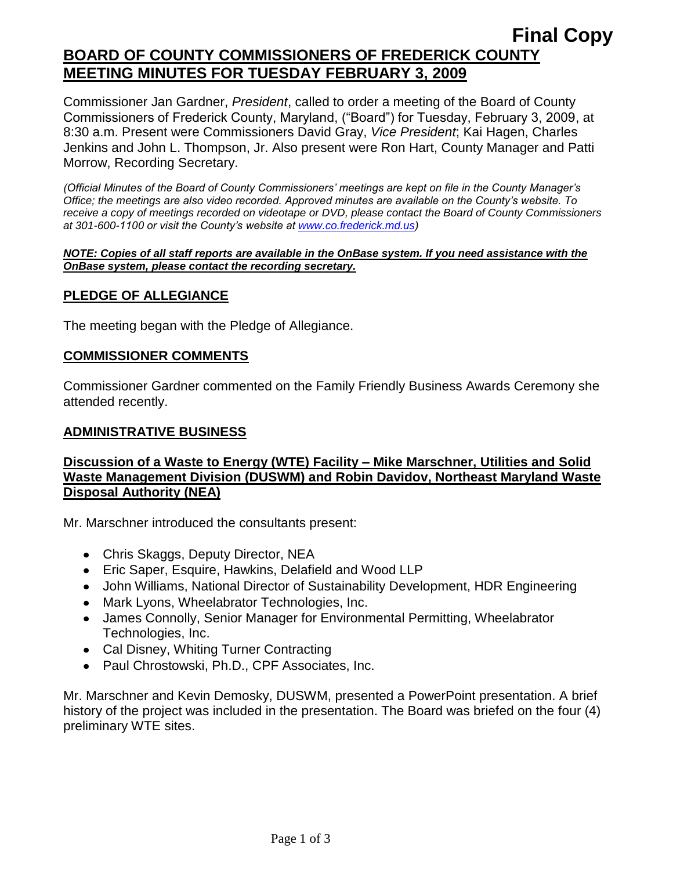# **Final Copy BOARD OF COUNTY COMMISSIONERS OF FREDERICK COUNTY MEETING MINUTES FOR TUESDAY FEBRUARY 3, 2009**

Commissioner Jan Gardner, *President*, called to order a meeting of the Board of County Commissioners of Frederick County, Maryland, ("Board") for Tuesday, February 3, 2009, at 8:30 a.m. Present were Commissioners David Gray, *Vice President*; Kai Hagen, Charles Jenkins and John L. Thompson, Jr. Also present were Ron Hart, County Manager and Patti Morrow, Recording Secretary.

*(Official Minutes of the Board of County Commissioners' meetings are kept on file in the County Manager's Office; the meetings are also video recorded. Approved minutes are available on the County's website. To receive a copy of meetings recorded on videotape or DVD, please contact the Board of County Commissioners at 301-600-1100 or visit the County's website at [www.co.frederick.md.us\)](http://www.co.frederick.md.us/)*

#### *NOTE: Copies of all staff reports are available in the OnBase system. If you need assistance with the OnBase system, please contact the recording secretary.*

#### **PLEDGE OF ALLEGIANCE**

The meeting began with the Pledge of Allegiance.

#### **COMMISSIONER COMMENTS**

Commissioner Gardner commented on the Family Friendly Business Awards Ceremony she attended recently.

#### **ADMINISTRATIVE BUSINESS**

#### **Discussion of a Waste to Energy (WTE) Facility – Mike Marschner, Utilities and Solid Waste Management Division (DUSWM) and Robin Davidov, Northeast Maryland Waste Disposal Authority (NEA)**

Mr. Marschner introduced the consultants present:

- Chris Skaggs, Deputy Director, NEA
- Eric Saper, Esquire, Hawkins, Delafield and Wood LLP
- John Williams, National Director of Sustainability Development, HDR Engineering
- Mark Lyons, Wheelabrator Technologies, Inc.
- James Connolly, Senior Manager for Environmental Permitting, Wheelabrator Technologies, Inc.
- Cal Disney, Whiting Turner Contracting
- Paul Chrostowski, Ph.D., CPF Associates, Inc.

Mr. Marschner and Kevin Demosky, DUSWM, presented a PowerPoint presentation. A brief history of the project was included in the presentation. The Board was briefed on the four (4) preliminary WTE sites.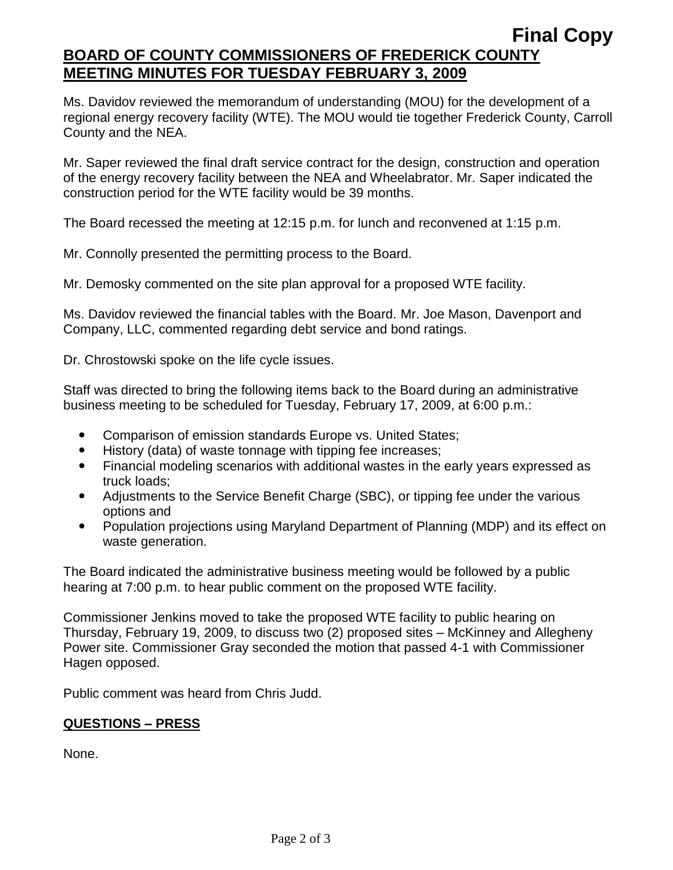# **Final Copy BOARD OF COUNTY COMMISSIONERS OF FREDERICK COUNTY MEETING MINUTES FOR TUESDAY FEBRUARY 3, 2009**

Ms. Davidov reviewed the memorandum of understanding (MOU) for the development of a regional energy recovery facility (WTE). The MOU would tie together Frederick County, Carroll County and the NEA.

Mr. Saper reviewed the final draft service contract for the design, construction and operation of the energy recovery facility between the NEA and Wheelabrator. Mr. Saper indicated the construction period for the WTE facility would be 39 months.

The Board recessed the meeting at 12:15 p.m. for lunch and reconvened at 1:15 p.m.

Mr. Connolly presented the permitting process to the Board.

Mr. Demosky commented on the site plan approval for a proposed WTE facility.

Ms. Davidov reviewed the financial tables with the Board. Mr. Joe Mason, Davenport and Company, LLC, commented regarding debt service and bond ratings.

Dr. Chrostowski spoke on the life cycle issues.

Staff was directed to bring the following items back to the Board during an administrative business meeting to be scheduled for Tuesday, February 17, 2009, at 6:00 p.m.:

- Comparison of emission standards Europe vs. United States;
- History (data) of waste tonnage with tipping fee increases;
- Financial modeling scenarios with additional wastes in the early years expressed as truck loads;
- Adjustments to the Service Benefit Charge (SBC), or tipping fee under the various options and
- Population projections using Maryland Department of Planning (MDP) and its effect on waste generation.

The Board indicated the administrative business meeting would be followed by a public hearing at 7:00 p.m. to hear public comment on the proposed WTE facility.

Commissioner Jenkins moved to take the proposed WTE facility to public hearing on Thursday, February 19, 2009, to discuss two (2) proposed sites – McKinney and Allegheny Power site. Commissioner Gray seconded the motion that passed 4-1 with Commissioner Hagen opposed.

Public comment was heard from Chris Judd.

### **QUESTIONS – PRESS**

None.